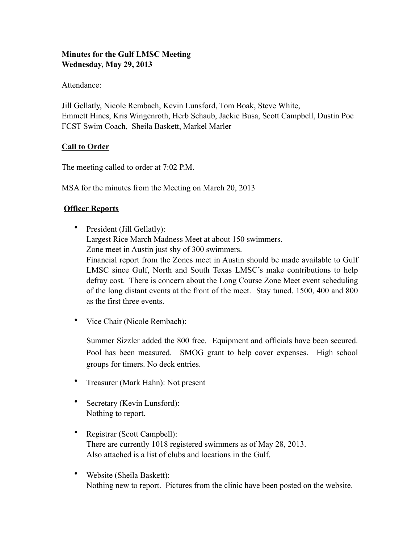### **Minutes for the Gulf LMSC Meeting Wednesday, May 29, 2013**

Attendance:

Jill Gellatly, Nicole Rembach, Kevin Lunsford, Tom Boak, Steve White, Emmett Hines, Kris Wingenroth, Herb Schaub, Jackie Busa, Scott Campbell, Dustin Poe FCST Swim Coach, Sheila Baskett, Markel Marler

## **Call to Order**

The meeting called to order at 7:02 P.M.

MSA for the minutes from the Meeting on March 20, 2013

## **Officer Reports**

• President (Jill Gellatly): Largest Rice March Madness Meet at about 150 swimmers. Zone meet in Austin just shy of 300 swimmers. Financial report from the Zones meet in Austin should be made available to Gulf LMSC since Gulf, North and South Texas LMSC's make contributions to help defray cost. There is concern about the Long Course Zone Meet event scheduling of the long distant events at the front of the meet. Stay tuned. 1500, 400 and 800 as the first three events.

• Vice Chair (Nicole Rembach):

Summer Sizzler added the 800 free. Equipment and officials have been secured. Pool has been measured. SMOG grant to help cover expenses. High school groups for timers. No deck entries.

- Treasurer (Mark Hahn): Not present
- Secretary (Kevin Lunsford): Nothing to report.
- Registrar (Scott Campbell): There are currently 1018 registered swimmers as of May 28, 2013. Also attached is a list of clubs and locations in the Gulf.
- Website (Sheila Baskett): Nothing new to report. Pictures from the clinic have been posted on the website.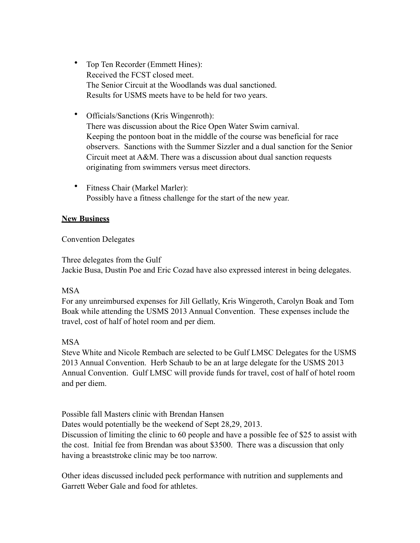- Top Ten Recorder (Emmett Hines): Received the FCST closed meet. The Senior Circuit at the Woodlands was dual sanctioned. Results for USMS meets have to be held for two years.
- Officials/Sanctions (Kris Wingenroth): There was discussion about the Rice Open Water Swim carnival. Keeping the pontoon boat in the middle of the course was beneficial for race observers. Sanctions with the Summer Sizzler and a dual sanction for the Senior Circuit meet at A&M. There was a discussion about dual sanction requests originating from swimmers versus meet directors.
- Fitness Chair (Markel Marler): Possibly have a fitness challenge for the start of the new year.

#### **New Business**

#### Convention Delegates

Three delegates from the Gulf Jackie Busa, Dustin Poe and Eric Cozad have also expressed interest in being delegates.

#### MSA

For any unreimbursed expenses for Jill Gellatly, Kris Wingeroth, Carolyn Boak and Tom Boak while attending the USMS 2013 Annual Convention. These expenses include the travel, cost of half of hotel room and per diem.

## MSA

Steve White and Nicole Rembach are selected to be Gulf LMSC Delegates for the USMS 2013 Annual Convention. Herb Schaub to be an at large delegate for the USMS 2013 Annual Convention. Gulf LMSC will provide funds for travel, cost of half of hotel room and per diem.

Possible fall Masters clinic with Brendan Hansen Dates would potentially be the weekend of Sept 28,29, 2013. Discussion of limiting the clinic to 60 people and have a possible fee of \$25 to assist with the cost. Initial fee from Brendan was about \$3500. There was a discussion that only having a breaststroke clinic may be too narrow.

Other ideas discussed included peck performance with nutrition and supplements and Garrett Weber Gale and food for athletes.